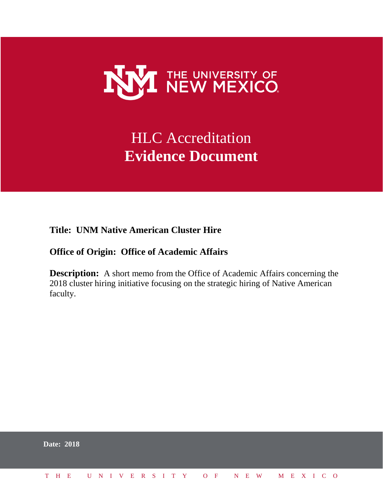

# HLC Accreditation **Evidence Document**

**Title: UNM Native American Cluster Hire**

## **Office of Origin: Office of Academic Affairs**

**Description:** A short memo from the Office of Academic Affairs concerning the 2018 cluster hiring initiative focusing on the strategic hiring of Native American faculty.

|  | <b>Date: 2018</b>            |  |  |  |  |  |  |  |  |  |  |  |  |  |
|--|------------------------------|--|--|--|--|--|--|--|--|--|--|--|--|--|
|  | THE UNIVERSITY OF NEW MEXICO |  |  |  |  |  |  |  |  |  |  |  |  |  |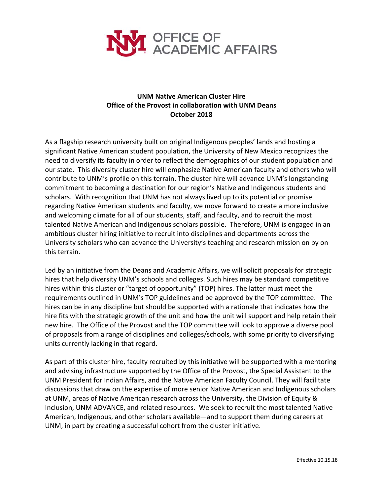

## **UNM Native American Cluster Hire Office of the Provost in collaboration with UNM Deans October 2018**

As a flagship research university built on original Indigenous peoples' lands and hosting a significant Native American student population, the University of New Mexico recognizes the need to diversify its faculty in order to reflect the demographics of our student population and our state. This diversity cluster hire will emphasize Native American faculty and others who will contribute to UNM's profile on this terrain. The cluster hire will advance UNM's longstanding commitment to becoming a destination for our region's Native and Indigenous students and scholars. With recognition that UNM has not always lived up to its potential or promise regarding Native American students and faculty, we move forward to create a more inclusive and welcoming climate for all of our students, staff, and faculty, and to recruit the most talented Native American and Indigenous scholars possible. Therefore, UNM is engaged in an ambitious cluster hiring initiative to recruit into disciplines and departments across the University scholars who can advance the University's teaching and research mission on by on this terrain.

Led by an initiative from the Deans and Academic Affairs, we will solicit proposals for strategic hires that help diversity UNM's schools and colleges. Such hires may be standard competitive hires within this cluster or "target of opportunity" (TOP) hires. The latter must meet the requirements outlined in UNM's TOP guidelines and be approved by the TOP committee. The hires can be in any discipline but should be supported with a rationale that indicates how the hire fits with the strategic growth of the unit and how the unit will support and help retain their new hire. The Office of the Provost and the TOP committee will look to approve a diverse pool of proposals from a range of disciplines and colleges/schools, with some priority to diversifying units currently lacking in that regard.

As part of this cluster hire, faculty recruited by this initiative will be supported with a mentoring and advising infrastructure supported by the Office of the Provost, the Special Assistant to the UNM President for Indian Affairs, and the Native American Faculty Council. They will facilitate discussions that draw on the expertise of more senior Native American and Indigenous scholars at UNM, areas of Native American research across the University, the Division of Equity & Inclusion, UNM ADVANCE, and related resources. We seek to recruit the most talented Native American, Indigenous, and other scholars available—and to support them during careers at UNM, in part by creating a successful cohort from the cluster initiative.